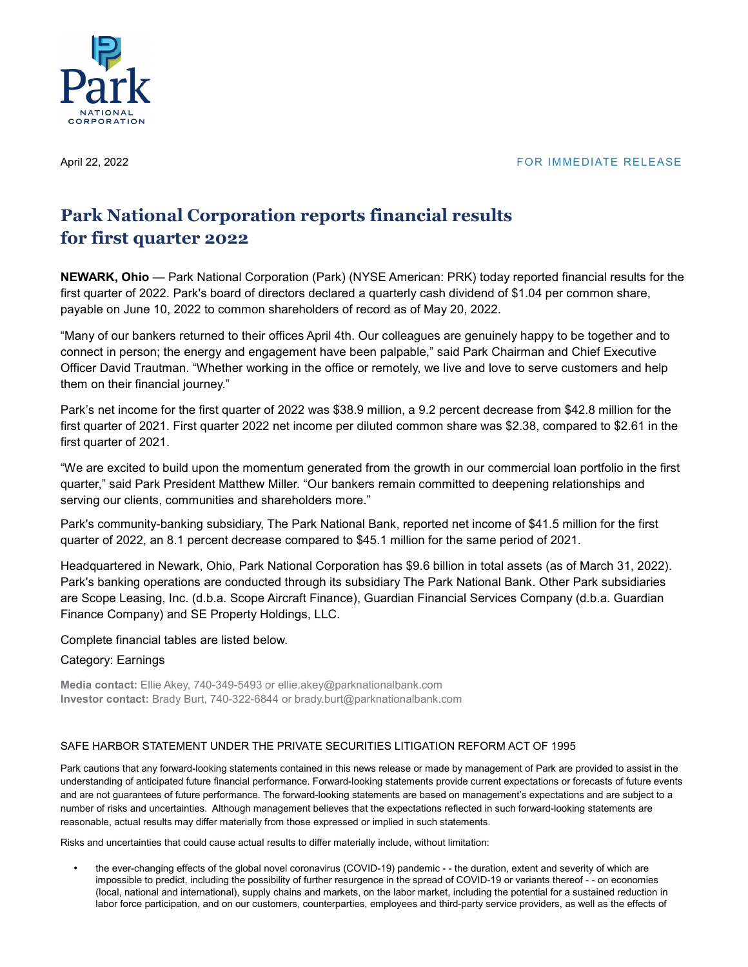

## April 22, 2022 **FOR IMMEDIATE RELEASE**

# **Park National Corporation reports financial results for first quarter 2022**

**NEWARK, Ohio** — Park National Corporation (Park) (NYSE American: PRK) today reported financial results for the first quarter of 2022. Park's board of directors declared a quarterly cash dividend of \$1.04 per common share, payable on June 10, 2022 to common shareholders of record as of May 20, 2022.

"Many of our bankers returned to their offices April 4th. Our colleagues are genuinely happy to be together and to connect in person; the energy and engagement have been palpable," said Park Chairman and Chief Executive Officer David Trautman. "Whether working in the office or remotely, we live and love to serve customers and help them on their financial journey."

Park's net income for the first quarter of 2022 was \$38.9 million, a 9.2 percent decrease from \$42.8 million for the first quarter of 2021. First quarter 2022 net income per diluted common share was \$2.38, compared to \$2.61 in the first quarter of 2021.

"We are excited to build upon the momentum generated from the growth in our commercial loan portfolio in the first quarter," said Park President Matthew Miller. "Our bankers remain committed to deepening relationships and serving our clients, communities and shareholders more."

Park's community-banking subsidiary, The Park National Bank, reported net income of \$41.5 million for the first quarter of 2022, an 8.1 percent decrease compared to \$45.1 million for the same period of 2021.

Headquartered in Newark, Ohio, Park National Corporation has \$9.6 billion in total assets (as of March 31, 2022). Park's banking operations are conducted through its subsidiary The Park National Bank. Other Park subsidiaries are Scope Leasing, Inc. (d.b.a. Scope Aircraft Finance), Guardian Financial Services Company (d.b.a. Guardian Finance Company) and SE Property Holdings, LLC.

Complete financial tables are listed below.

## Category: Earnings

**Media contact:** Ellie Akey, 740-349-5493 or ellie.akey@parknationalbank.com **Investor contact:** Brady Burt, 740-322-6844 or brady.burt@parknationalbank.com

## SAFE HARBOR STATEMENT UNDER THE PRIVATE SECURITIES LITIGATION REFORM ACT OF 1995

Park cautions that any forward-looking statements contained in this news release or made by management of Park are provided to assist in the understanding of anticipated future financial performance. Forward-looking statements provide current expectations or forecasts of future events and are not guarantees of future performance. The forward-looking statements are based on management's expectations and are subject to a number of risks and uncertainties. Although management believes that the expectations reflected in such forward-looking statements are reasonable, actual results may differ materially from those expressed or implied in such statements.

Risks and uncertainties that could cause actual results to differ materially include, without limitation:

• the ever-changing effects of the global novel coronavirus (COVID-19) pandemic - - the duration, extent and severity of which are impossible to predict, including the possibility of further resurgence in the spread of COVID-19 or variants thereof - - on economies (local, national and international), supply chains and markets, on the labor market, including the potential for a sustained reduction in labor force participation, and on our customers, counterparties, employees and third-party service providers, as well as the effects of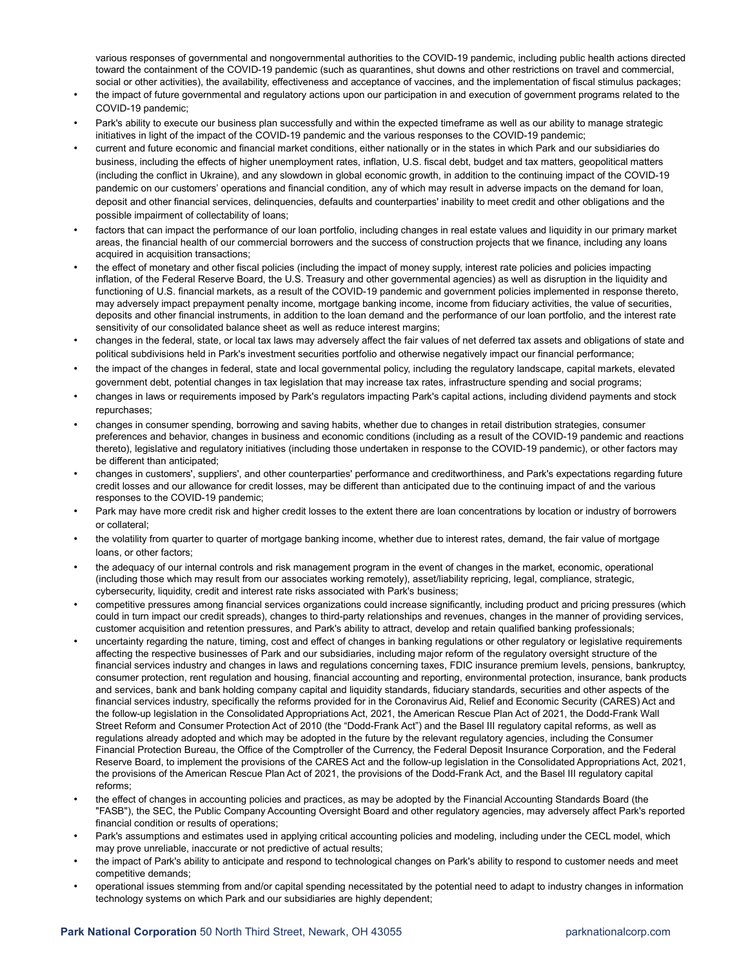various responses of governmental and nongovernmental authorities to the COVID-19 pandemic, including public health actions directed toward the containment of the COVID-19 pandemic (such as quarantines, shut downs and other restrictions on travel and commercial, social or other activities), the availability, effectiveness and acceptance of vaccines, and the implementation of fiscal stimulus packages;

- the impact of future governmental and regulatory actions upon our participation in and execution of government programs related to the COVID-19 pandemic;
- Park's ability to execute our business plan successfully and within the expected timeframe as well as our ability to manage strategic initiatives in light of the impact of the COVID-19 pandemic and the various responses to the COVID-19 pandemic;
- current and future economic and financial market conditions, either nationally or in the states in which Park and our subsidiaries do business, including the effects of higher unemployment rates, inflation, U.S. fiscal debt, budget and tax matters, geopolitical matters (including the conflict in Ukraine), and any slowdown in global economic growth, in addition to the continuing impact of the COVID-19 pandemic on our customers' operations and financial condition, any of which may result in adverse impacts on the demand for loan, deposit and other financial services, delinquencies, defaults and counterparties' inability to meet credit and other obligations and the possible impairment of collectability of loans;
- factors that can impact the performance of our loan portfolio, including changes in real estate values and liquidity in our primary market areas, the financial health of our commercial borrowers and the success of construction projects that we finance, including any loans acquired in acquisition transactions;
- the effect of monetary and other fiscal policies (including the impact of money supply, interest rate policies and policies impacting inflation, of the Federal Reserve Board, the U.S. Treasury and other governmental agencies) as well as disruption in the liquidity and functioning of U.S. financial markets, as a result of the COVID-19 pandemic and government policies implemented in response thereto, may adversely impact prepayment penalty income, mortgage banking income, income from fiduciary activities, the value of securities, deposits and other financial instruments, in addition to the loan demand and the performance of our loan portfolio, and the interest rate sensitivity of our consolidated balance sheet as well as reduce interest margins;
- changes in the federal, state, or local tax laws may adversely affect the fair values of net deferred tax assets and obligations of state and political subdivisions held in Park's investment securities portfolio and otherwise negatively impact our financial performance;
- the impact of the changes in federal, state and local governmental policy, including the regulatory landscape, capital markets, elevated government debt, potential changes in tax legislation that may increase tax rates, infrastructure spending and social programs;
- changes in laws or requirements imposed by Park's regulators impacting Park's capital actions, including dividend payments and stock repurchases;
- changes in consumer spending, borrowing and saving habits, whether due to changes in retail distribution strategies, consumer preferences and behavior, changes in business and economic conditions (including as a result of the COVID-19 pandemic and reactions thereto), legislative and regulatory initiatives (including those undertaken in response to the COVID-19 pandemic), or other factors may be different than anticipated;
- changes in customers', suppliers', and other counterparties' performance and creditworthiness, and Park's expectations regarding future credit losses and our allowance for credit losses, may be different than anticipated due to the continuing impact of and the various responses to the COVID-19 pandemic;
- Park may have more credit risk and higher credit losses to the extent there are loan concentrations by location or industry of borrowers or collateral;
- the volatility from quarter to quarter of mortgage banking income, whether due to interest rates, demand, the fair value of mortgage loans, or other factors;
- the adequacy of our internal controls and risk management program in the event of changes in the market, economic, operational (including those which may result from our associates working remotely), asset/liability repricing, legal, compliance, strategic, cybersecurity, liquidity, credit and interest rate risks associated with Park's business;
- competitive pressures among financial services organizations could increase significantly, including product and pricing pressures (which could in turn impact our credit spreads), changes to third-party relationships and revenues, changes in the manner of providing services, customer acquisition and retention pressures, and Park's ability to attract, develop and retain qualified banking professionals;
- uncertainty regarding the nature, timing, cost and effect of changes in banking regulations or other regulatory or legislative requirements affecting the respective businesses of Park and our subsidiaries, including major reform of the regulatory oversight structure of the financial services industry and changes in laws and regulations concerning taxes, FDIC insurance premium levels, pensions, bankruptcy, consumer protection, rent regulation and housing, financial accounting and reporting, environmental protection, insurance, bank products and services, bank and bank holding company capital and liquidity standards, fiduciary standards, securities and other aspects of the financial services industry, specifically the reforms provided for in the Coronavirus Aid, Relief and Economic Security (CARES) Act and the follow-up legislation in the Consolidated Appropriations Act, 2021, the American Rescue Plan Act of 2021, the Dodd-Frank Wall Street Reform and Consumer Protection Act of 2010 (the "Dodd-Frank Act") and the Basel III regulatory capital reforms, as well as regulations already adopted and which may be adopted in the future by the relevant regulatory agencies, including the Consumer Financial Protection Bureau, the Office of the Comptroller of the Currency, the Federal Deposit Insurance Corporation, and the Federal Reserve Board, to implement the provisions of the CARES Act and the follow-up legislation in the Consolidated Appropriations Act, 2021, the provisions of the American Rescue Plan Act of 2021, the provisions of the Dodd-Frank Act, and the Basel III regulatory capital reforms;
- the effect of changes in accounting policies and practices, as may be adopted by the Financial Accounting Standards Board (the "FASB"), the SEC, the Public Company Accounting Oversight Board and other regulatory agencies, may adversely affect Park's reported financial condition or results of operations;
- Park's assumptions and estimates used in applying critical accounting policies and modeling, including under the CECL model, which may prove unreliable, inaccurate or not predictive of actual results;
- the impact of Park's ability to anticipate and respond to technological changes on Park's ability to respond to customer needs and meet competitive demands;
- operational issues stemming from and/or capital spending necessitated by the potential need to adapt to industry changes in information technology systems on which Park and our subsidiaries are highly dependent;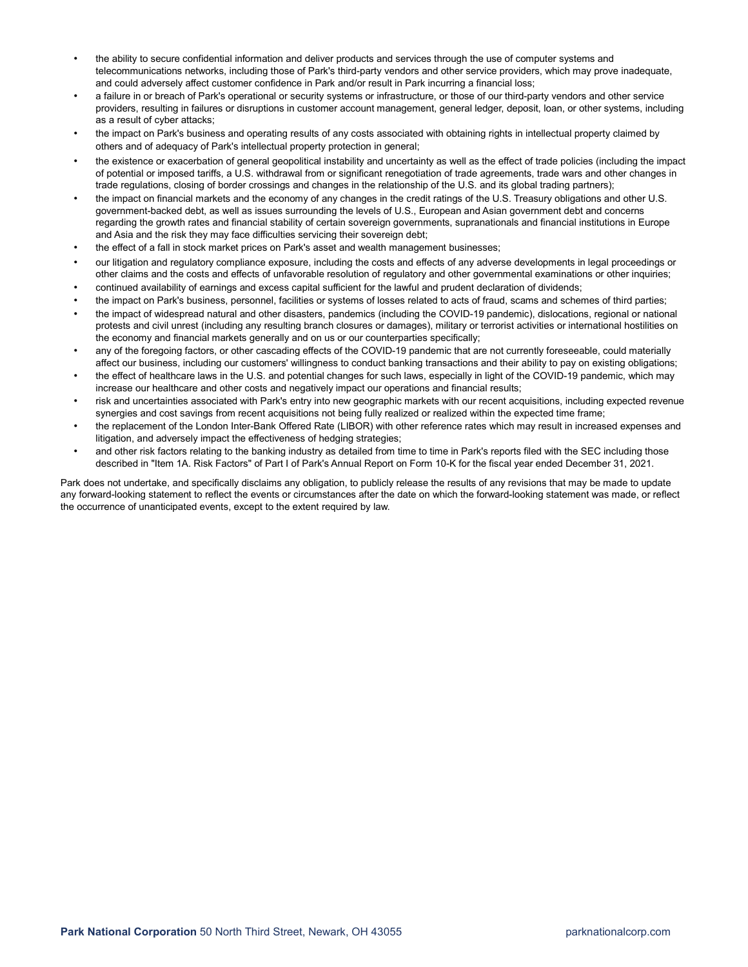- the ability to secure confidential information and deliver products and services through the use of computer systems and telecommunications networks, including those of Park's third-party vendors and other service providers, which may prove inadequate, and could adversely affect customer confidence in Park and/or result in Park incurring a financial loss;
- a failure in or breach of Park's operational or security systems or infrastructure, or those of our third-party vendors and other service providers, resulting in failures or disruptions in customer account management, general ledger, deposit, loan, or other systems, including as a result of cyber attacks;
- the impact on Park's business and operating results of any costs associated with obtaining rights in intellectual property claimed by others and of adequacy of Park's intellectual property protection in general;
- the existence or exacerbation of general geopolitical instability and uncertainty as well as the effect of trade policies (including the impact of potential or imposed tariffs, a U.S. withdrawal from or significant renegotiation of trade agreements, trade wars and other changes in trade regulations, closing of border crossings and changes in the relationship of the U.S. and its global trading partners);
- the impact on financial markets and the economy of any changes in the credit ratings of the U.S. Treasury obligations and other U.S. government-backed debt, as well as issues surrounding the levels of U.S., European and Asian government debt and concerns regarding the growth rates and financial stability of certain sovereign governments, supranationals and financial institutions in Europe and Asia and the risk they may face difficulties servicing their sovereign debt;
- the effect of a fall in stock market prices on Park's asset and wealth management businesses;
- our litigation and regulatory compliance exposure, including the costs and effects of any adverse developments in legal proceedings or other claims and the costs and effects of unfavorable resolution of regulatory and other governmental examinations or other inquiries;
- continued availability of earnings and excess capital sufficient for the lawful and prudent declaration of dividends;
- the impact on Park's business, personnel, facilities or systems of losses related to acts of fraud, scams and schemes of third parties;
- the impact of widespread natural and other disasters, pandemics (including the COVID-19 pandemic), dislocations, regional or national protests and civil unrest (including any resulting branch closures or damages), military or terrorist activities or international hostilities on the economy and financial markets generally and on us or our counterparties specifically;
- any of the foregoing factors, or other cascading effects of the COVID-19 pandemic that are not currently foreseeable, could materially affect our business, including our customers' willingness to conduct banking transactions and their ability to pay on existing obligations;
- the effect of healthcare laws in the U.S. and potential changes for such laws, especially in light of the COVID-19 pandemic, which may increase our healthcare and other costs and negatively impact our operations and financial results;
- risk and uncertainties associated with Park's entry into new geographic markets with our recent acquisitions, including expected revenue synergies and cost savings from recent acquisitions not being fully realized or realized within the expected time frame;
- the replacement of the London Inter-Bank Offered Rate (LIBOR) with other reference rates which may result in increased expenses and litigation, and adversely impact the effectiveness of hedging strategies;
- and other risk factors relating to the banking industry as detailed from time to time in Park's reports filed with the SEC including those described in "Item 1A. Risk Factors" of Part I of Park's Annual Report on Form 10-K for the fiscal year ended December 31, 2021.

Park does not undertake, and specifically disclaims any obligation, to publicly release the results of any revisions that may be made to update any forward-looking statement to reflect the events or circumstances after the date on which the forward-looking statement was made, or reflect the occurrence of unanticipated events, except to the extent required by law.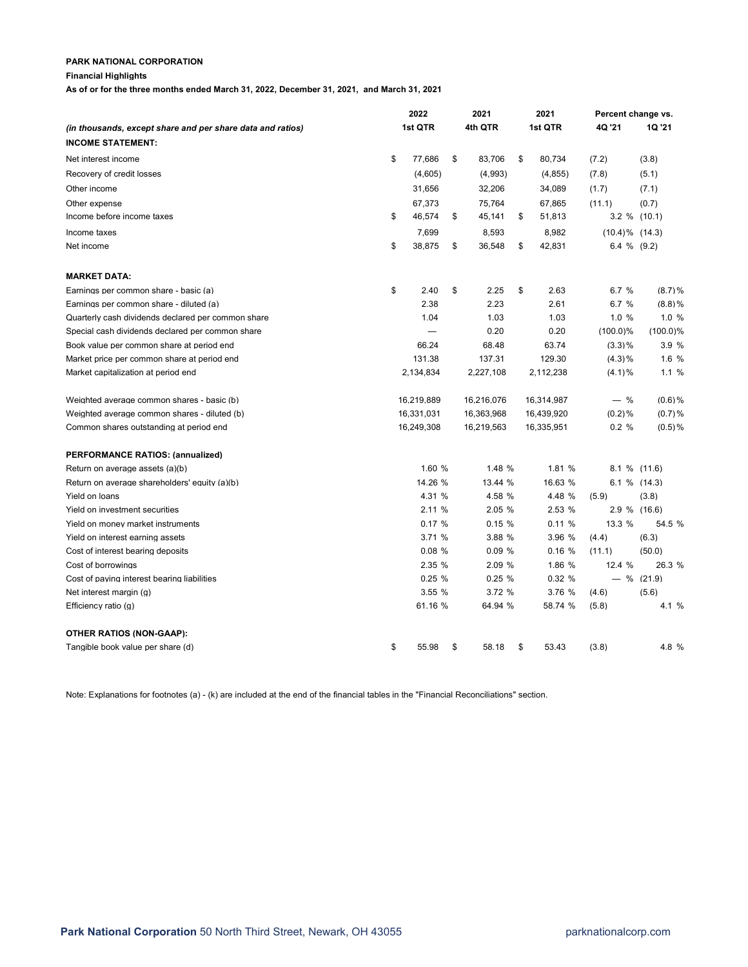## **Financial Highlights**

**As of or for the three months ended March 31, 2022, December 31, 2021, and March 31, 2021**

|                                                            |    | 2022    |            |         | 2021       | 2021    |            | Percent change vs.  |              |  |
|------------------------------------------------------------|----|---------|------------|---------|------------|---------|------------|---------------------|--------------|--|
| (in thousands, except share and per share data and ratios) |    | 1st QTR |            | 4th QTR |            | 1st QTR | 4Q '21     | <b>1Q '21</b>       |              |  |
| <b>INCOME STATEMENT:</b>                                   |    |         |            |         |            |         |            |                     |              |  |
| Net interest income                                        | \$ |         | 77,686     | \$      | 83,706     | \$      | 80,734     | (7.2)               | (3.8)        |  |
| Recovery of credit losses                                  |    |         | (4,605)    |         | (4,993)    |         | (4, 855)   | (7.8)               | (5.1)        |  |
| Other income                                               |    |         | 31,656     |         | 32,206     |         | 34,089     | (1.7)               | (7.1)        |  |
| Other expense                                              |    |         | 67,373     |         | 75,764     |         | 67,865     | (11.1)              | (0.7)        |  |
| Income before income taxes                                 | \$ |         | 46,574     | \$      | 45,141     | \$      | 51,813     | 3.2 % (10.1)        |              |  |
| Income taxes                                               |    |         | 7,699      |         | 8,593      |         | 8,982      | $(10.4)\%$ $(14.3)$ |              |  |
| Net income                                                 | \$ |         | 38,875     | \$      | 36,548     | \$      | 42,831     | 6.4 $%$ (9.2)       |              |  |
| <b>MARKET DATA:</b>                                        |    |         |            |         |            |         |            |                     |              |  |
| Earnings per common share - basic (a)                      | \$ |         | 2.40       | \$      | 2.25       | \$      | 2.63       | 6.7%                | (8.7)%       |  |
| Earnings per common share - diluted (a)                    |    |         | 2.38       |         | 2.23       |         | 2.61       | 6.7%                | $(8.8)$ %    |  |
| Quarterly cash dividends declared per common share         |    |         | 1.04       |         | 1.03       |         | 1.03       | 1.0%                | 1.0%         |  |
| Special cash dividends declared per common share           |    |         |            |         | 0.20       |         | 0.20       | $(100.0)\%$         | $(100.0)\%$  |  |
| Book value per common share at period end                  |    |         | 66.24      |         | 68.48      |         | 63.74      | (3.3)%              | 3.9 %        |  |
| Market price per common share at period end                |    |         | 131.38     |         | 137.31     |         | 129.30     | (4.3)%              | 1.6%         |  |
| Market capitalization at period end                        |    |         | 2,134,834  |         | 2,227,108  |         | 2,112,238  | (4.1)%              | 1.1%         |  |
| Weighted average common shares - basic (b)                 |    |         | 16,219,889 |         | 16,216,076 |         | 16,314,987 | $-$ %               | $(0.6)$ %    |  |
| Weighted average common shares - diluted (b)               |    |         | 16,331,031 |         | 16,363,968 |         | 16,439,920 | $(0.2)$ %           | (0.7)%       |  |
| Common shares outstanding at period end                    |    |         | 16,249,308 |         | 16,219,563 |         | 16,335,951 | 0.2%                | $(0.5)$ %    |  |
| <b>PERFORMANCE RATIOS: (annualized)</b>                    |    |         |            |         |            |         |            |                     |              |  |
| Return on average assets (a)(b)                            |    |         | 1.60 %     |         | 1.48 %     |         | 1.81 %     | 8.1 % (11.6)        |              |  |
| Return on average shareholders' equity (a)(b)              |    |         | 14.26 %    |         | 13.44 %    |         | 16.63 %    | 6.1 % (14.3)        |              |  |
| Yield on loans                                             |    |         | 4.31 %     |         | 4.58 %     |         | 4.48 %     | (5.9)               | (3.8)        |  |
| Yield on investment securities                             |    |         | 2.11%      |         | 2.05 %     |         | 2.53 %     | 2.9 % (16.6)        |              |  |
| Yield on money market instruments                          |    |         | 0.17%      |         | 0.15%      |         | 0.11%      | 13.3 %              | 54.5 %       |  |
| Yield on interest earning assets                           |    |         | 3.71%      |         | 3.88 %     |         | 3.96 %     | (4.4)               | (6.3)        |  |
| Cost of interest bearing deposits                          |    |         | 0.08%      |         | 0.09%      |         | 0.16%      | (11.1)              | (50.0)       |  |
| Cost of borrowings                                         |    |         | 2.35%      |         | 2.09 %     |         | 1.86 %     | 12.4 %              | 26.3 %       |  |
| Cost of paying interest bearing liabilities                |    |         | 0.25%      |         | 0.25%      |         | 0.32%      |                     | $-$ % (21.9) |  |
| Net interest margin (g)                                    |    |         | 3.55%      |         | 3.72 %     |         | 3.76 %     | (4.6)               | (5.6)        |  |
| Efficiency ratio $(q)$                                     |    |         | 61.16 %    |         | 64.94 %    |         | 58.74 %    | (5.8)               | 4.1 %        |  |
| OTHER RATIOS (NON-GAAP):                                   |    |         |            |         |            |         |            |                     |              |  |
| Tangible book value per share (d)                          | \$ |         | 55.98      | \$      | 58.18      | \$      | 53.43      | (3.8)               | 4.8 %        |  |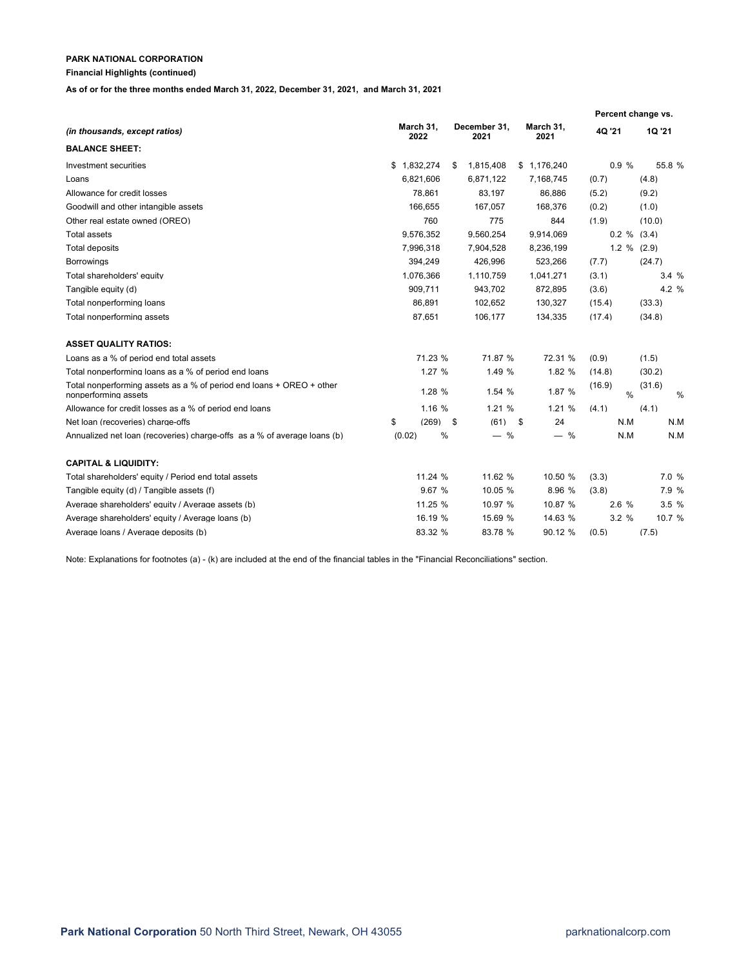## **Financial Highlights (continued)**

**As of or for the three months ended March 31, 2022, December 31, 2021, and March 31, 2021**

|                                                                                              |        |                   |              |                      |                   |        | Percent change vs. |                |   |
|----------------------------------------------------------------------------------------------|--------|-------------------|--------------|----------------------|-------------------|--------|--------------------|----------------|---|
| (in thousands, except ratios)                                                                |        | March 31,<br>2022 |              | December 31,<br>2021 | March 31,<br>2021 | 4Q '21 |                    | 1Q '21         |   |
| <b>BALANCE SHEET:</b>                                                                        |        |                   |              |                      |                   |        |                    |                |   |
| Investment securities                                                                        | \$     | 1.832.274         | \$           | 1.815.408            | \$1.176.240       |        | 0.9%               | 55.8 %         |   |
| Loans                                                                                        |        | 6,821,606         |              | 6,871,122            | 7,168,745         | (0.7)  |                    | (4.8)          |   |
| Allowance for credit losses                                                                  |        | 78.861            |              | 83,197               | 86,886            | (5.2)  |                    | (9.2)          |   |
| Goodwill and other intangible assets                                                         |        | 166.655           |              | 167.057              | 168.376           | (0.2)  |                    | (1.0)          |   |
| Other real estate owned (OREO)                                                               |        | 760               |              | 775                  | 844               | (1.9)  |                    | (10.0)         |   |
| Total assets                                                                                 |        | 9,576,352         |              | 9,560,254            | 9,914,069         |        |                    | $0.2 \%$ (3.4) |   |
| <b>Total deposits</b>                                                                        |        | 7,996,318         |              | 7,904,528            | 8,236,199         |        |                    | $1.2 \%$ (2.9) |   |
| <b>Borrowings</b>                                                                            |        | 394.249           |              | 426.996              | 523.266           | (7.7)  |                    | (24.7)         |   |
| Total shareholders' equity                                                                   |        | 1.076.366         |              | 1,110,759            | 1.041.271         | (3.1)  |                    | 3.4%           |   |
| Tangible equity (d)                                                                          |        | 909,711           |              | 943,702              | 872,895           | (3.6)  |                    | 4.2 %          |   |
| Total nonperforming loans                                                                    |        | 86,891            |              | 102,652              | 130,327           | (15.4) |                    | (33.3)         |   |
| Total nonperforming assets                                                                   |        | 87,651            |              | 106,177              | 134,335           | (17.4) |                    | (34.8)         |   |
| <b>ASSET QUALITY RATIOS:</b>                                                                 |        |                   |              |                      |                   |        |                    |                |   |
| Loans as a % of period end total assets                                                      |        | 71.23 %           |              | 71.87 %              | 72.31 %           | (0.9)  |                    | (1.5)          |   |
| Total nonperforming loans as a % of period end loans                                         |        | 1.27 %            |              | 1.49 %               | 1.82 %            | (14.8) |                    | (30.2)         |   |
| Total nonperforming assets as a % of period end loans + OREO + other<br>nonperforming assets |        | 1.28 %            |              | 1.54 %               | 1.87 %            | (16.9) | $\frac{0}{0}$      | (31.6)         | % |
| Allowance for credit losses as a % of period end loans                                       |        | 1.16 %            |              | 1.21 %               | 1.21 %            | (4.1)  |                    | (4.1)          |   |
| Net loan (recoveries) charge-offs                                                            | \$     | (269)             | $\mathbf{s}$ | $(61)$ \$            | 24                |        | N.M                | N.M            |   |
| Annualized net loan (recoveries) charge-offs as a % of average loans (b)                     | (0.02) | %                 |              | $-$ %                | $-$ %             |        | N.M                | N.M            |   |
| <b>CAPITAL &amp; LIQUIDITY:</b>                                                              |        |                   |              |                      |                   |        |                    |                |   |
| Total shareholders' equity / Period end total assets                                         |        | 11.24 %           |              | 11.62 %              | 10.50 %           | (3.3)  |                    | 7.0 %          |   |
| Tangible equity (d) / Tangible assets (f)                                                    |        | 9.67 %            |              | 10.05 %              | 8.96 %            | (3.8)  |                    | 7.9 %          |   |
| Average shareholders' equity / Average assets (b)                                            |        | 11.25 %           |              | 10.97 %              | 10.87 %           |        | 2.6 %              | 3.5%           |   |
| Average shareholders' equity / Average loans (b)                                             |        | 16.19 %           |              | 15.69 %              | 14.63 %           |        | 3.2%               | 10.7 %         |   |
| Average loans / Average deposits (b)                                                         |        | 83.32 %           |              | 83.78 %              | 90.12 %           | (0.5)  |                    | (7.5)          |   |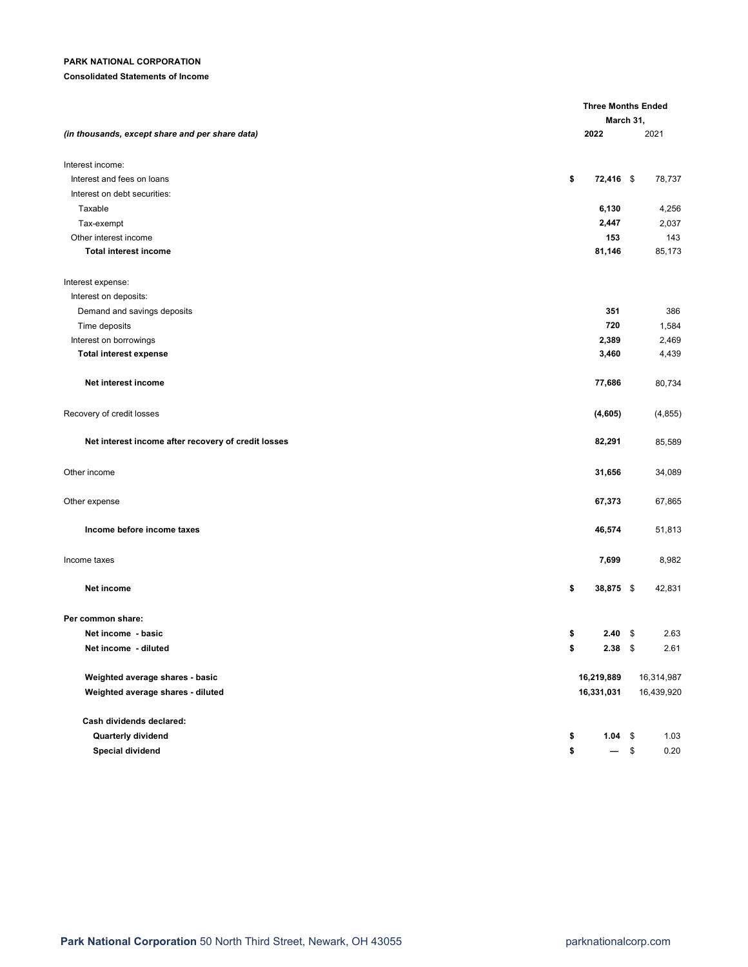## **Consolidated Statements of Income**

|                                                     |                   | <b>Three Months Ended</b><br>March 31, |  |  |  |
|-----------------------------------------------------|-------------------|----------------------------------------|--|--|--|
| (in thousands, except share and per share data)     | 2022              | 2021                                   |  |  |  |
| Interest income:                                    |                   |                                        |  |  |  |
| Interest and fees on loans                          | \$<br>72,416 \$   | 78,737                                 |  |  |  |
| Interest on debt securities:                        |                   |                                        |  |  |  |
| Taxable                                             | 6,130             | 4,256                                  |  |  |  |
| Tax-exempt                                          | 2,447             | 2,037                                  |  |  |  |
| Other interest income                               | 153               | 143                                    |  |  |  |
| <b>Total interest income</b>                        | 81,146            | 85,173                                 |  |  |  |
| Interest expense:                                   |                   |                                        |  |  |  |
| Interest on deposits:                               |                   |                                        |  |  |  |
| Demand and savings deposits                         | 351               | 386                                    |  |  |  |
| Time deposits                                       | 720               | 1,584                                  |  |  |  |
| Interest on borrowings                              | 2,389             | 2,469                                  |  |  |  |
| <b>Total interest expense</b>                       | 3,460             | 4,439                                  |  |  |  |
| Net interest income                                 | 77,686            | 80,734                                 |  |  |  |
| Recovery of credit losses                           | (4,605)           | (4, 855)                               |  |  |  |
| Net interest income after recovery of credit losses | 82,291            | 85,589                                 |  |  |  |
| Other income                                        | 31,656            | 34,089                                 |  |  |  |
| Other expense                                       | 67,373            | 67,865                                 |  |  |  |
| Income before income taxes                          | 46,574            | 51,813                                 |  |  |  |
| Income taxes                                        | 7,699             | 8,982                                  |  |  |  |
| Net income                                          | \$<br>38,875 \$   | 42,831                                 |  |  |  |
| Per common share:                                   |                   |                                        |  |  |  |
| Net income - basic                                  | \$<br>$2.40\quad$ | 2.63                                   |  |  |  |
| Net income - diluted                                | \$<br>$2.38$ \$   | 2.61                                   |  |  |  |
| Weighted average shares - basic                     | 16,219,889        | 16,314,987                             |  |  |  |
| Weighted average shares - diluted                   | 16,331,031        | 16,439,920                             |  |  |  |
| Cash dividends declared:                            |                   |                                        |  |  |  |
| Quarterly dividend                                  | $1.04$ \$<br>\$   | 1.03                                   |  |  |  |
| Special dividend                                    | \$<br>$-$ \$      | 0.20                                   |  |  |  |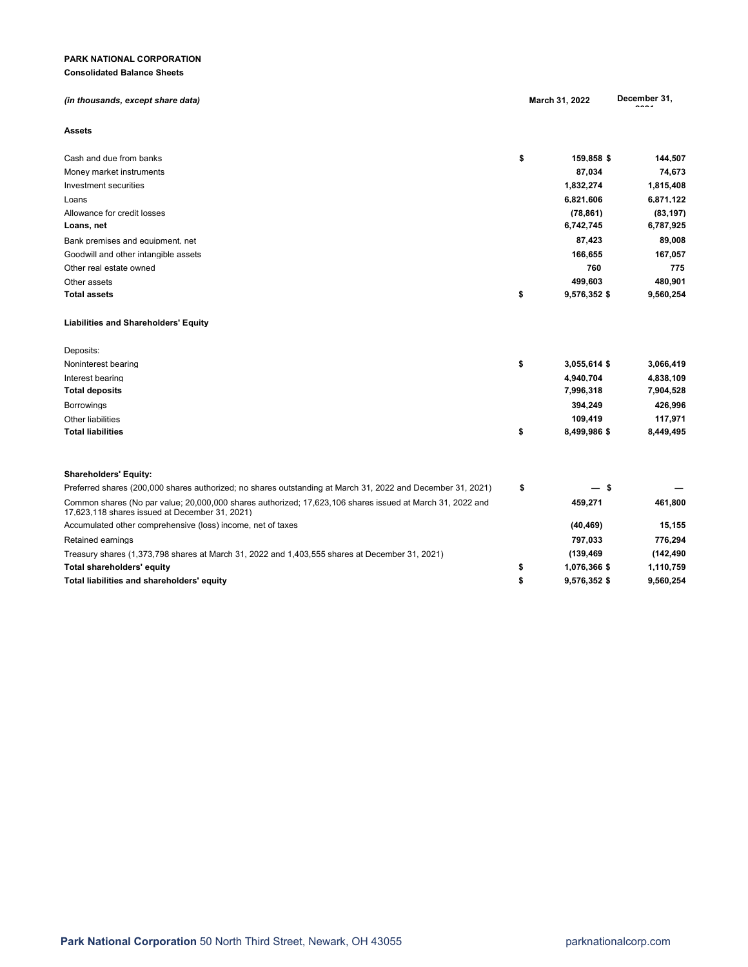## **PARK NATIONAL CORPORATION Consolidated Balance Sheets**

| (in thousands, except share data)                                                                                                                           | March 31, 2022     | December 31, |
|-------------------------------------------------------------------------------------------------------------------------------------------------------------|--------------------|--------------|
| Assets                                                                                                                                                      |                    |              |
| Cash and due from banks                                                                                                                                     | \$<br>159,858 \$   | 144,507      |
| Money market instruments                                                                                                                                    | 87,034             | 74,673       |
| Investment securities                                                                                                                                       | 1,832,274          | 1,815,408    |
| Loans                                                                                                                                                       | 6,821,606          | 6,871,122    |
| Allowance for credit losses                                                                                                                                 | (78, 861)          | (83, 197)    |
| Loans, net                                                                                                                                                  | 6,742,745          | 6,787,925    |
| Bank premises and equipment, net                                                                                                                            | 87,423             | 89,008       |
| Goodwill and other intangible assets                                                                                                                        | 166,655            | 167,057      |
| Other real estate owned                                                                                                                                     | 760                | 775          |
| Other assets                                                                                                                                                | 499,603            | 480,901      |
| <b>Total assets</b>                                                                                                                                         | \$<br>9,576,352 \$ | 9,560,254    |
| <b>Liabilities and Shareholders' Equity</b>                                                                                                                 |                    |              |
| Deposits:                                                                                                                                                   |                    |              |
| Noninterest bearing                                                                                                                                         | \$<br>3,055,614 \$ | 3,066,419    |
| Interest bearing                                                                                                                                            | 4,940,704          | 4,838,109    |
| Total deposits                                                                                                                                              | 7,996,318          | 7,904,528    |
| <b>Borrowings</b>                                                                                                                                           | 394,249            | 426,996      |
| Other liabilities                                                                                                                                           | 109,419            | 117,971      |
| <b>Total liabilities</b>                                                                                                                                    | \$<br>8,499,986 \$ | 8,449,495    |
| <b>Shareholders' Equity:</b>                                                                                                                                |                    |              |
| Preferred shares (200,000 shares authorized; no shares outstanding at March 31, 2022 and December 31, 2021)                                                 | \$<br>-\$          |              |
| Common shares (No par value; 20,000,000 shares authorized; 17,623,106 shares issued at March 31, 2022 and<br>17.623.118 shares issued at December 31, 2021) | 459,271            | 461,800      |
| Accumulated other comprehensive (loss) income, net of taxes                                                                                                 | (40, 469)          | 15,155       |
| Retained earnings                                                                                                                                           | 797.033            | 776,294      |
| Treasury shares (1,373,798 shares at March 31, 2022 and 1,403,555 shares at December 31, 2021)                                                              | (139, 469)         | (142, 490)   |
| Total shareholders' equity                                                                                                                                  | \$<br>1,076,366 \$ | 1,110,759    |
| Total liabilities and shareholders' equity                                                                                                                  | \$<br>9,576,352 \$ | 9,560,254    |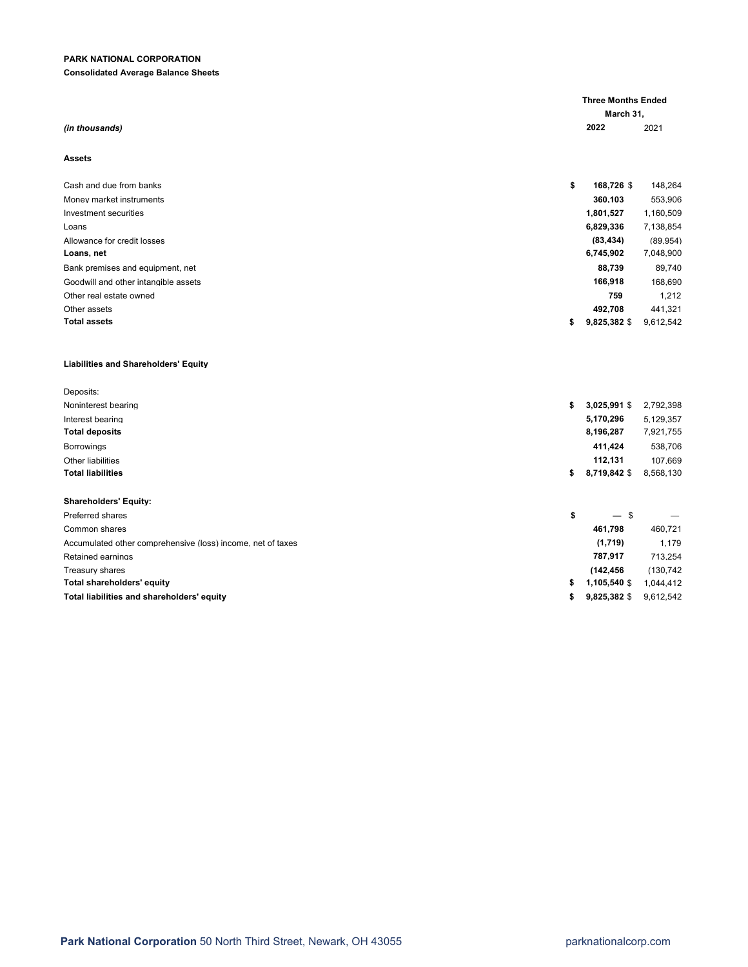## **Consolidated Average Balance Sheets**

| (in thousands)                                              |    | 2022         | 2021       |  |  |  |
|-------------------------------------------------------------|----|--------------|------------|--|--|--|
| <b>Assets</b>                                               |    |              |            |  |  |  |
| Cash and due from banks                                     | \$ | 168,726 \$   | 148,264    |  |  |  |
| Money market instruments                                    |    | 360,103      | 553,906    |  |  |  |
| Investment securities                                       |    | 1,801,527    | 1,160,509  |  |  |  |
| Loans                                                       |    | 6,829,336    | 7,138,854  |  |  |  |
| Allowance for credit losses                                 |    | (83, 434)    | (89, 954)  |  |  |  |
| Loans, net                                                  |    | 6,745,902    | 7,048,900  |  |  |  |
| Bank premises and equipment, net                            |    | 88,739       | 89.740     |  |  |  |
| Goodwill and other intangible assets                        |    | 166,918      | 168,690    |  |  |  |
| Other real estate owned                                     |    | 759          | 1,212      |  |  |  |
| Other assets                                                |    | 492,708      | 441.321    |  |  |  |
| <b>Total assets</b>                                         | \$ | 9,825,382 \$ | 9,612,542  |  |  |  |
| <b>Liabilities and Shareholders' Equity</b>                 |    |              |            |  |  |  |
| Deposits:                                                   |    |              |            |  |  |  |
| Noninterest bearing                                         | \$ | 3,025,991 \$ | 2,792,398  |  |  |  |
| Interest bearing                                            |    | 5,170,296    | 5,129,357  |  |  |  |
| <b>Total deposits</b>                                       |    | 8,196,287    | 7,921,755  |  |  |  |
| <b>Borrowings</b>                                           |    | 411,424      | 538,706    |  |  |  |
| Other liabilities                                           |    | 112,131      | 107,669    |  |  |  |
| <b>Total liabilities</b>                                    | \$ | 8,719,842 \$ | 8,568,130  |  |  |  |
|                                                             |    |              |            |  |  |  |
| <b>Shareholders' Equity:</b>                                |    |              |            |  |  |  |
| <b>Preferred shares</b>                                     | \$ | — \$         |            |  |  |  |
| Common shares                                               |    | 461,798      | 460,721    |  |  |  |
| Accumulated other comprehensive (loss) income, net of taxes |    | (1,719)      | 1,179      |  |  |  |
| Retained earnings                                           |    | 787,917      | 713,254    |  |  |  |
| Treasury shares                                             |    | (142, 456)   | (130, 742) |  |  |  |
| Total shareholders' equity                                  | \$ | 1,105,540 \$ | 1,044,412  |  |  |  |
| Total liabilities and shareholders' equity                  | \$ | 9,825,382 \$ | 9,612,542  |  |  |  |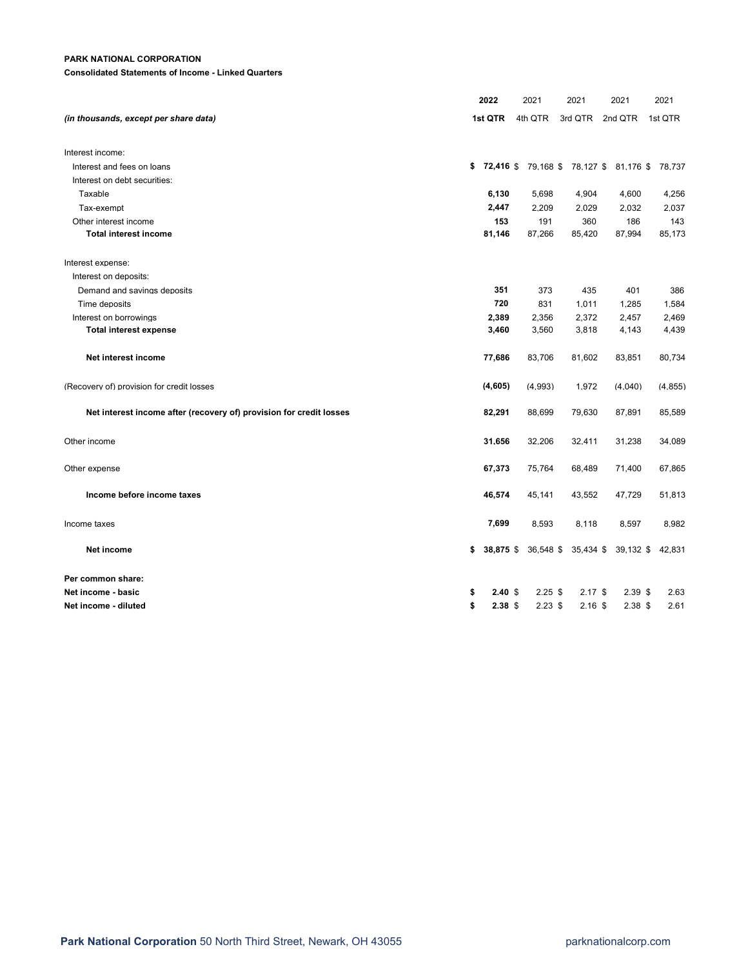**Consolidated Statements of Income - Linked Quarters**

|                                                                     | 2022                    | 2021      | 2021      | 2021                              | 2021     |  |
|---------------------------------------------------------------------|-------------------------|-----------|-----------|-----------------------------------|----------|--|
| (in thousands, except per share data)                               | 1st QTR                 | 4th QTR   | 3rd QTR   | 2nd QTR                           | 1st QTR  |  |
| Interest income:                                                    |                         |           |           |                                   |          |  |
| Interest and fees on loans                                          | $$72,416$ \$            |           |           | 79.168 \$78.127 \$81.176 \$78.737 |          |  |
| Interest on debt securities:                                        |                         |           |           |                                   |          |  |
| Taxable                                                             | 6,130                   | 5,698     | 4,904     | 4,600                             | 4,256    |  |
| Tax-exempt                                                          | 2,447                   | 2,209     | 2,029     | 2,032                             | 2,037    |  |
| Other interest income                                               | 153                     | 191       | 360       | 186                               | 143      |  |
| <b>Total interest income</b>                                        | 81,146                  | 87,266    | 85,420    | 87,994                            | 85,173   |  |
| Interest expense:                                                   |                         |           |           |                                   |          |  |
| Interest on deposits:                                               |                         |           |           |                                   |          |  |
| Demand and savings deposits                                         | 351                     | 373       | 435       | 401                               | 386      |  |
| Time deposits                                                       | 720                     | 831       | 1,011     | 1,285                             | 1,584    |  |
| Interest on borrowings                                              | 2,389                   | 2,356     | 2,372     | 2,457                             | 2,469    |  |
| <b>Total interest expense</b>                                       | 3,460                   | 3,560     | 3,818     | 4,143                             | 4,439    |  |
| Net interest income                                                 | 77,686                  | 83,706    | 81,602    | 83,851                            | 80,734   |  |
| (Recovery of) provision for credit losses                           | (4,605)                 | (4.993)   | 1,972     | (4,040)                           | (4, 855) |  |
| Net interest income after (recovery of) provision for credit losses | 82,291                  | 88,699    | 79,630    | 87,891                            | 85,589   |  |
| Other income                                                        | 31,656                  | 32,206    | 32,411    | 31,238                            | 34,089   |  |
| Other expense                                                       | 67,373                  | 75,764    | 68,489    | 71,400                            | 67,865   |  |
| Income before income taxes                                          | 46,574                  | 45,141    | 43,552    | 47,729                            | 51,813   |  |
| Income taxes                                                        | 7,699                   | 8,593     | 8,118     | 8,597                             | 8,982    |  |
| Net income                                                          | \$<br>38,875 \$         | 36,548 \$ | 35,434 \$ | 39,132 \$                         | 42,831   |  |
| Per common share:                                                   |                         |           |           |                                   |          |  |
| Net income - basic                                                  | \$<br>$2.40~\text{\AA}$ | $2.25$ \$ | $2.17$ \$ | $2.39$ \$                         | 2.63     |  |
| Net income - diluted                                                | \$<br>2.38 <sub>5</sub> | $2.23$ \$ | $2.16$ \$ | $2.38$ \$                         | 2.61     |  |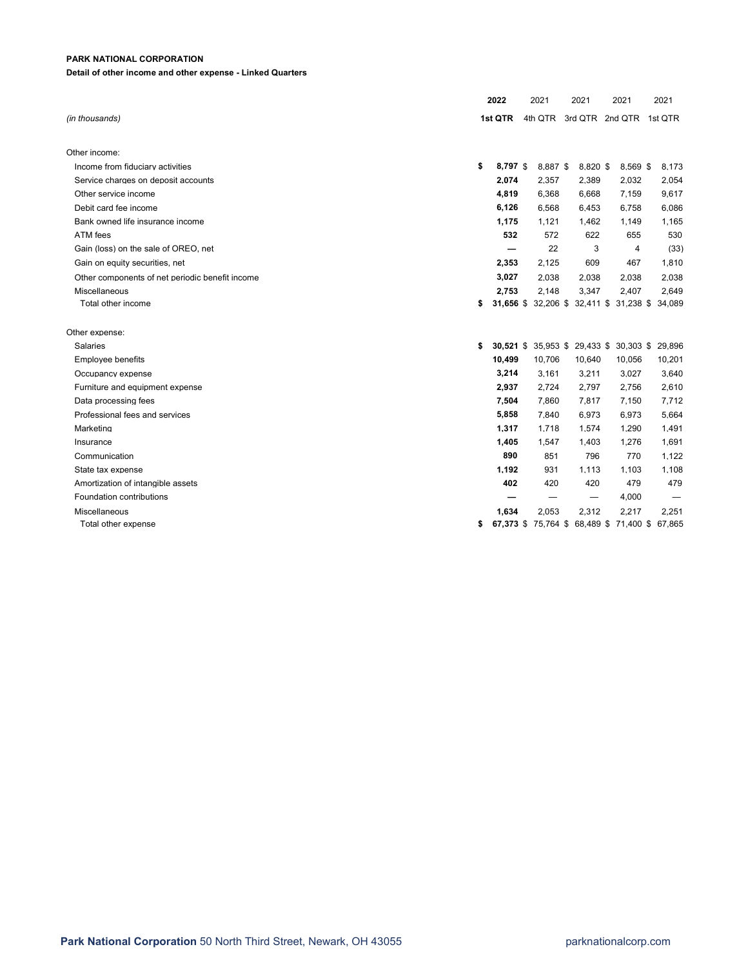## **Detail of other income and other expense - Linked Quarters**

|    |       |                           |          |      |                                 |                                                                                                                                              |          | 2021                                                                                                                                                                             |                                                                                                                                                         |
|----|-------|---------------------------|----------|------|---------------------------------|----------------------------------------------------------------------------------------------------------------------------------------------|----------|----------------------------------------------------------------------------------------------------------------------------------------------------------------------------------|---------------------------------------------------------------------------------------------------------------------------------------------------------|
|    |       |                           |          |      |                                 |                                                                                                                                              |          |                                                                                                                                                                                  |                                                                                                                                                         |
|    |       |                           |          |      |                                 |                                                                                                                                              |          |                                                                                                                                                                                  |                                                                                                                                                         |
|    |       |                           |          |      |                                 |                                                                                                                                              |          |                                                                                                                                                                                  |                                                                                                                                                         |
| \$ |       |                           |          |      |                                 |                                                                                                                                              |          |                                                                                                                                                                                  | 8.173                                                                                                                                                   |
|    | 2,074 |                           | 2,357    |      |                                 |                                                                                                                                              |          |                                                                                                                                                                                  | 2,054                                                                                                                                                   |
|    | 4,819 |                           | 6,368    |      |                                 |                                                                                                                                              |          |                                                                                                                                                                                  | 9,617                                                                                                                                                   |
|    | 6,126 |                           | 6,568    |      |                                 |                                                                                                                                              |          |                                                                                                                                                                                  | 6,086                                                                                                                                                   |
|    | 1,175 |                           | 1,121    |      |                                 |                                                                                                                                              |          |                                                                                                                                                                                  | 1,165                                                                                                                                                   |
|    | 532   |                           | 572      |      | 622                             |                                                                                                                                              | 655      |                                                                                                                                                                                  | 530                                                                                                                                                     |
|    | —     |                           | 22       |      | 3                               |                                                                                                                                              | 4        |                                                                                                                                                                                  | (33)                                                                                                                                                    |
|    | 2,353 |                           | 2,125    |      | 609                             |                                                                                                                                              | 467      |                                                                                                                                                                                  | 1,810                                                                                                                                                   |
|    | 3,027 |                           | 2,038    |      |                                 |                                                                                                                                              |          |                                                                                                                                                                                  | 2,038                                                                                                                                                   |
|    | 2,753 |                           | 2.148    |      |                                 |                                                                                                                                              |          |                                                                                                                                                                                  | 2.649                                                                                                                                                   |
| \$ |       |                           |          |      |                                 |                                                                                                                                              |          | 34,089                                                                                                                                                                           |                                                                                                                                                         |
|    |       |                           |          |      |                                 |                                                                                                                                              |          |                                                                                                                                                                                  |                                                                                                                                                         |
| \$ |       |                           |          |      |                                 |                                                                                                                                              |          | 29.896                                                                                                                                                                           |                                                                                                                                                         |
|    |       |                           | 10,706   |      |                                 |                                                                                                                                              |          | 10,201                                                                                                                                                                           |                                                                                                                                                         |
|    | 3,214 |                           | 3,161    |      |                                 |                                                                                                                                              |          |                                                                                                                                                                                  | 3,640                                                                                                                                                   |
|    | 2,937 |                           | 2,724    |      |                                 |                                                                                                                                              |          |                                                                                                                                                                                  | 2,610                                                                                                                                                   |
|    | 7,504 |                           | 7,860    |      |                                 |                                                                                                                                              |          |                                                                                                                                                                                  | 7.712                                                                                                                                                   |
|    | 5,858 |                           | 7.840    |      |                                 |                                                                                                                                              |          |                                                                                                                                                                                  | 5.664                                                                                                                                                   |
|    | 1,317 |                           | 1,718    |      |                                 |                                                                                                                                              |          |                                                                                                                                                                                  | 1,491                                                                                                                                                   |
|    | 1,405 |                           | 1,547    |      |                                 |                                                                                                                                              |          |                                                                                                                                                                                  | 1,691                                                                                                                                                   |
|    | 890   |                           | 851      |      | 796                             |                                                                                                                                              | 770      |                                                                                                                                                                                  | 1.122                                                                                                                                                   |
|    | 1,192 |                           | 931      |      |                                 |                                                                                                                                              |          |                                                                                                                                                                                  | 1.108                                                                                                                                                   |
|    | 402   |                           | 420      |      | 420                             |                                                                                                                                              | 479      |                                                                                                                                                                                  | 479                                                                                                                                                     |
|    | –     |                           | -        |      | $\hspace{0.1mm}-\hspace{0.1mm}$ |                                                                                                                                              |          |                                                                                                                                                                                  |                                                                                                                                                         |
|    | 1,634 |                           | 2,053    |      |                                 |                                                                                                                                              |          |                                                                                                                                                                                  | 2,251                                                                                                                                                   |
| S  |       |                           |          |      |                                 |                                                                                                                                              |          |                                                                                                                                                                                  |                                                                                                                                                         |
|    |       | 2022<br>1st QTR<br>10,499 | 8,797 \$ | 2021 | 8.887 \$                        | 2021<br>2,389<br>6,668<br>6,453<br>1,462<br>2,038<br>3.347<br>10,640<br>3,211<br>2,797<br>7.817<br>6.973<br>1,574<br>1,403<br>1.113<br>2,312 | 8.820 \$ | 2021<br>4th QTR 3rd QTR 2nd QTR<br>2,032<br>7,159<br>6,758<br>1,149<br>2,038<br>2.407<br>10,056<br>3,027<br>2,756<br>7,150<br>6,973<br>1,290<br>1,276<br>1.103<br>4,000<br>2,217 | 1st QTR<br>8.569 \$<br>31,656 \$ 32,206 \$ 32,411 \$ 31,238 \$<br>30,521 \$ 35,953 \$ 29,433 \$ 30,303 \$<br>67,373 \$75,764 \$68,489 \$71,400 \$67,865 |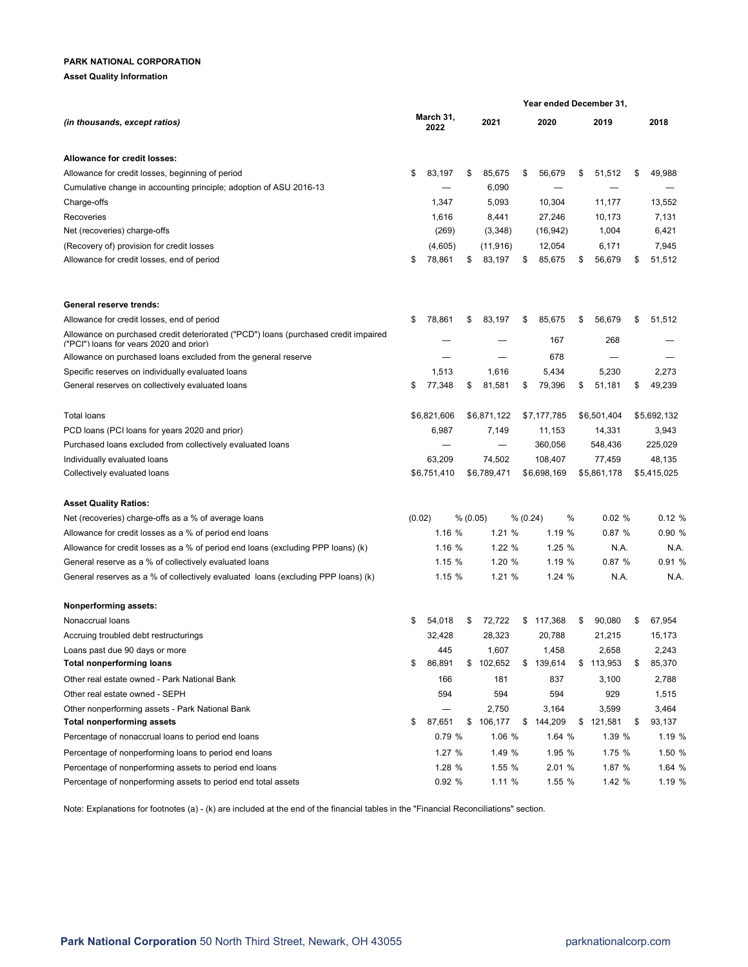#### **Asset Quality Information**

|                                                                                                                                |                   |             |    |             |          | Year ended December 31, |    |             |    |             |
|--------------------------------------------------------------------------------------------------------------------------------|-------------------|-------------|----|-------------|----------|-------------------------|----|-------------|----|-------------|
| (in thousands, except ratios)                                                                                                  | March 31,<br>2022 |             |    | 2021        |          | 2020                    |    | 2019        |    | 2018        |
| Allowance for credit losses:                                                                                                   |                   |             |    |             |          |                         |    |             |    |             |
| Allowance for credit losses, beginning of period                                                                               | \$                | 83,197      | \$ | 85,675      | \$       | 56,679                  | \$ | 51,512      | \$ | 49,988      |
| Cumulative change in accounting principle; adoption of ASU 2016-13                                                             |                   |             |    | 6,090       |          |                         |    |             |    |             |
| Charge-offs                                                                                                                    |                   | 1,347       |    | 5,093       |          | 10,304                  |    | 11,177      |    | 13,552      |
| Recoveries                                                                                                                     |                   | 1,616       |    | 8,441       |          | 27,246                  |    | 10,173      |    | 7,131       |
| Net (recoveries) charge-offs                                                                                                   |                   | (269)       |    | (3,348)     |          | (16, 942)               |    | 1,004       |    | 6,421       |
| (Recovery of) provision for credit losses                                                                                      |                   | (4,605)     |    | (11, 916)   |          | 12,054                  |    | 6,171       |    | 7,945       |
| Allowance for credit losses, end of period                                                                                     | \$                | 78,861      | \$ | 83,197      | \$       | 85,675                  | \$ | 56,679      | \$ | 51,512      |
| General reserve trends:                                                                                                        |                   |             |    |             |          |                         |    |             |    |             |
| Allowance for credit losses, end of period                                                                                     | \$                | 78,861      | \$ | 83,197      | \$       | 85,675                  | \$ | 56,679      | \$ | 51,512      |
| Allowance on purchased credit deteriorated ("PCD") loans (purchased credit impaired<br>("PCI") loans for vears 2020 and prior) |                   |             |    |             |          | 167                     |    | 268         |    |             |
| Allowance on purchased loans excluded from the general reserve                                                                 |                   |             |    |             |          | 678                     |    |             |    |             |
| Specific reserves on individually evaluated loans                                                                              |                   | 1,513       |    | 1,616       |          | 5,434                   |    | 5,230       |    | 2,273       |
| General reserves on collectively evaluated loans                                                                               | \$                | 77,348      | \$ | 81,581      | \$       | 79,396                  | \$ | 51,181      | \$ | 49,239      |
| <b>Total loans</b>                                                                                                             |                   | \$6,821,606 |    | \$6,871,122 |          | \$7,177,785             |    | \$6,501,404 |    | \$5.692.132 |
| PCD loans (PCI loans for years 2020 and prior)                                                                                 |                   | 6,987       |    | 7,149       |          | 11,153                  |    | 14,331      |    | 3,943       |
| Purchased loans excluded from collectively evaluated loans                                                                     |                   |             |    |             |          | 360,056                 |    | 548,436     |    | 225,029     |
| Individually evaluated loans                                                                                                   |                   | 63,209      |    | 74,502      |          | 108,407                 |    | 77,459      |    | 48,135      |
| Collectively evaluated loans                                                                                                   |                   | \$6,751,410 |    | \$6,789,471 |          | \$6,698,169             |    | \$5,861,178 |    | \$5,415,025 |
| <b>Asset Quality Ratios:</b>                                                                                                   |                   |             |    |             |          |                         |    |             |    |             |
| Net (recoveries) charge-offs as a % of average loans                                                                           | (0.02)            |             |    | % (0.05)    | % (0.24) |                         | %  | 0.02%       |    | 0.12%       |
| Allowance for credit losses as a % of period end loans                                                                         |                   | 1.16 %      |    | 1.21%       |          | 1.19 %                  |    | 0.87%       |    | 0.90 %      |
| Allowance for credit losses as a % of period end loans (excluding PPP loans) (k)                                               |                   | 1.16 %      |    | 1.22%       |          | 1.25%                   |    | N.A.        |    | N.A.        |
| General reserve as a % of collectively evaluated loans                                                                         |                   | 1.15%       |    | 1.20 %      |          | 1.19 %                  |    | 0.87%       |    | 0.91%       |
| General reserves as a % of collectively evaluated loans (excluding PPP loans) (k)                                              |                   | 1.15%       |    | 1.21%       |          | 1.24%                   |    | N.A.        |    | N.A.        |
| Nonperforming assets:                                                                                                          |                   |             |    |             |          |                         |    |             |    |             |
| Nonaccrual loans                                                                                                               |                   | 54,018      |    | 72,722      | \$       | 117,368                 | S  | 90,080      | \$ | 67,954      |
| Accruing troubled debt restructurings                                                                                          |                   | 32,428      |    | 28,323      |          | 20,788                  |    | 21,215      |    | 15,173      |
| Loans past due 90 days or more                                                                                                 |                   | 445         |    | 1,607       |          | 1,458                   |    | 2,658       |    | 2,243       |
| <b>Total nonperforming loans</b>                                                                                               | \$                | 86,891      |    | \$102,652   | \$       | 139,614                 |    | \$113,953   | \$ | 85,370      |
| Other real estate owned - Park National Bank                                                                                   |                   | 166         |    | 181         |          | 837                     |    | 3,100       |    | 2,788       |
| Other real estate owned - SEPH                                                                                                 |                   | 594         |    | 594         |          | 594                     |    | 929         |    | 1,515       |
| Other nonperforming assets - Park National Bank                                                                                |                   |             |    | 2,750       |          | 3,164                   |    | 3,599       |    | 3,464       |
| <b>Total nonperforming assets</b>                                                                                              | \$                | 87,651      |    | \$106,177   | \$       | 144,209                 |    | \$121,581   | \$ | 93,137      |
| Percentage of nonaccrual loans to period end loans                                                                             |                   | 0.79%       |    | 1.06 %      |          | 1.64 %                  |    | 1.39 %      |    | 1.19 %      |
| Percentage of nonperforming loans to period end loans                                                                          |                   | 1.27 %      |    | 1.49 %      |          | 1.95 %                  |    | 1.75 %      |    | 1.50 %      |
| Percentage of nonperforming assets to period end loans                                                                         |                   | 1.28 %      |    | 1.55 %      |          | 2.01 %                  |    | 1.87 %      |    | 1.64 %      |
| Percentage of nonperforming assets to period end total assets                                                                  |                   | 0.92 %      |    | 1.11%       |          | 1.55 %                  |    | 1.42 %      |    | 1.19 %      |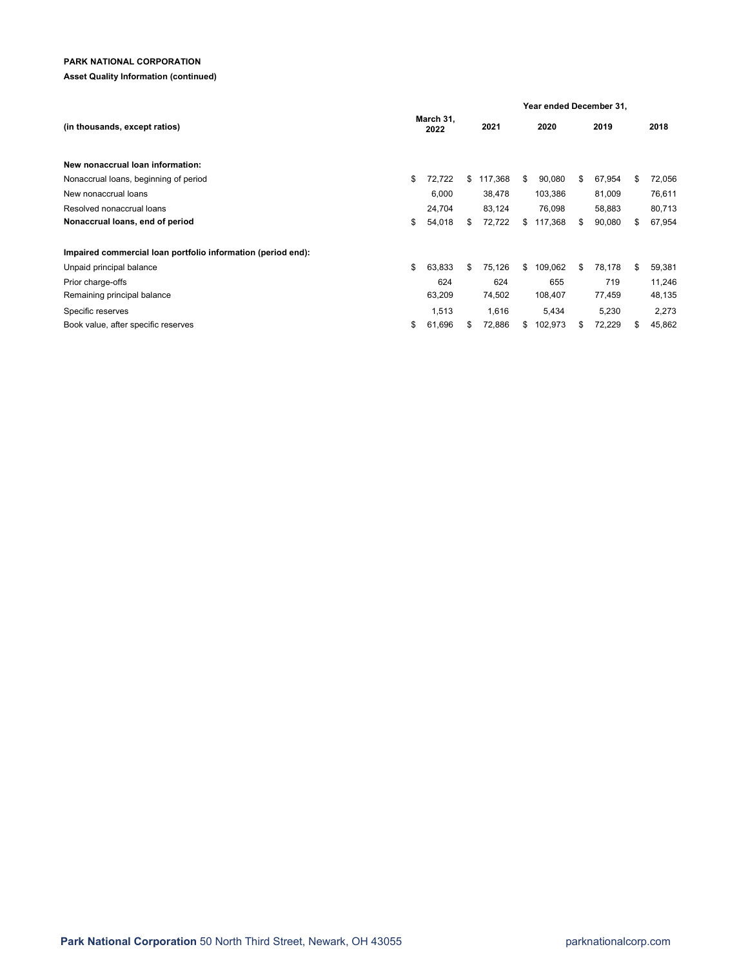## **Asset Quality Information (continued)**

|                                                              |                   |        | Year ended December 31, |         |      |         |      |        |      |        |  |  |
|--------------------------------------------------------------|-------------------|--------|-------------------------|---------|------|---------|------|--------|------|--------|--|--|
| (in thousands, except ratios)                                | March 31,<br>2022 |        | 2021                    |         | 2020 |         | 2019 |        | 2018 |        |  |  |
| New nonaccrual loan information:                             |                   |        |                         |         |      |         |      |        |      |        |  |  |
| Nonaccrual loans, beginning of period                        | \$                | 72,722 | \$                      | 117,368 | \$   | 90,080  | \$   | 67,954 | \$   | 72,056 |  |  |
| New nonaccrual loans                                         |                   | 6,000  |                         | 38,478  |      | 103,386 |      | 81,009 |      | 76,611 |  |  |
| Resolved nonaccrual loans                                    |                   | 24,704 |                         | 83,124  |      | 76,098  |      | 58,883 |      | 80,713 |  |  |
| Nonaccrual loans, end of period                              | \$                | 54,018 | \$                      | 72,722  | S.   | 117,368 | \$   | 90,080 | \$   | 67,954 |  |  |
| Impaired commercial loan portfolio information (period end): |                   |        |                         |         |      |         |      |        |      |        |  |  |
| Unpaid principal balance                                     | \$                | 63,833 | \$                      | 75,126  | \$   | 109,062 | \$   | 78,178 | \$   | 59,381 |  |  |
| Prior charge-offs                                            |                   | 624    |                         | 624     |      | 655     |      | 719    |      | 11,246 |  |  |
| Remaining principal balance                                  |                   | 63,209 |                         | 74,502  |      | 108,407 |      | 77,459 |      | 48,135 |  |  |
| Specific reserves                                            |                   | 1,513  |                         | 1,616   |      | 5,434   |      | 5,230  |      | 2,273  |  |  |
| Book value, after specific reserves                          | \$                | 61,696 | \$                      | 72,886  | \$   | 102,973 | S.   | 72,229 | \$   | 45,862 |  |  |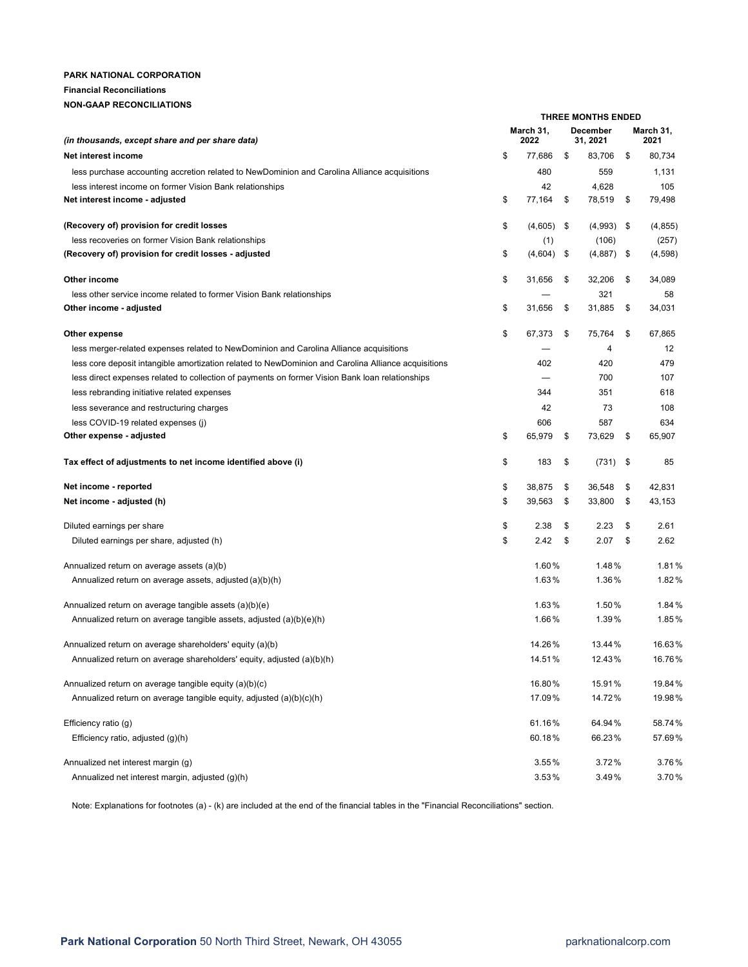## **PARK NATIONAL CORPORATION Financial Reconciliations**

## **NON-GAAP RECONCILIATIONS**

|                                                                                                     | <b>THREE MONTHS ENDED</b> |                   |    |                      |    |                   |  |  |  |  |
|-----------------------------------------------------------------------------------------------------|---------------------------|-------------------|----|----------------------|----|-------------------|--|--|--|--|
| (in thousands, except share and per share data)                                                     |                           | March 31,<br>2022 |    | December<br>31, 2021 |    | March 31,<br>2021 |  |  |  |  |
| Net interest income                                                                                 | \$                        | 77,686            | \$ | 83,706               | \$ | 80,734            |  |  |  |  |
| less purchase accounting accretion related to NewDominion and Carolina Alliance acquisitions        |                           | 480               |    | 559                  |    | 1,131             |  |  |  |  |
| less interest income on former Vision Bank relationships                                            |                           | 42                |    | 4,628                |    | 105               |  |  |  |  |
| Net interest income - adjusted                                                                      | \$                        | 77,164            | \$ | 78,519               | \$ | 79,498            |  |  |  |  |
| (Recovery of) provision for credit losses                                                           | \$                        | $(4,605)$ \$      |    | $(4,993)$ \$         |    | (4, 855)          |  |  |  |  |
| less recoveries on former Vision Bank relationships                                                 |                           | (1)               |    | (106)                |    | (257)             |  |  |  |  |
| (Recovery of) provision for credit losses - adjusted                                                | \$                        | $(4,604)$ \$      |    | $(4,887)$ \$         |    | (4,598)           |  |  |  |  |
| Other income                                                                                        | \$                        | 31,656            | \$ | 32,206               | \$ | 34,089            |  |  |  |  |
| less other service income related to former Vision Bank relationships                               |                           |                   |    | 321                  |    | 58                |  |  |  |  |
| Other income - adjusted                                                                             | \$                        | 31,656            | \$ | 31,885               | \$ | 34,031            |  |  |  |  |
| Other expense                                                                                       | \$                        | 67,373            | \$ | 75,764               | \$ | 67,865            |  |  |  |  |
| less merger-related expenses related to NewDominion and Carolina Alliance acquisitions              |                           |                   |    | 4                    |    | 12                |  |  |  |  |
| less core deposit intangible amortization related to NewDominion and Carolina Alliance acquisitions |                           | 402               |    | 420                  |    | 479               |  |  |  |  |
| less direct expenses related to collection of payments on former Vision Bank loan relationships     |                           |                   |    | 700                  |    | 107               |  |  |  |  |
| less rebranding initiative related expenses                                                         |                           | 344               |    | 351                  |    | 618               |  |  |  |  |
| less severance and restructuring charges                                                            |                           | 42                |    | 73                   |    | 108               |  |  |  |  |
| less COVID-19 related expenses (i)                                                                  |                           | 606               |    | 587                  |    | 634               |  |  |  |  |
| Other expense - adjusted                                                                            | \$                        | 65,979            | \$ | 73,629               | \$ | 65,907            |  |  |  |  |
| Tax effect of adjustments to net income identified above (i)                                        | \$                        | 183               | \$ | $(731)$ \$           |    | 85                |  |  |  |  |
| Net income - reported                                                                               | \$                        | 38,875            | \$ | 36,548               | \$ | 42,831            |  |  |  |  |
| Net income - adjusted (h)                                                                           | \$                        | 39,563            | \$ | 33,800               | \$ | 43,153            |  |  |  |  |
| Diluted earnings per share                                                                          | \$                        | 2.38              | \$ | 2.23                 | \$ | 2.61              |  |  |  |  |
| Diluted earnings per share, adjusted (h)                                                            | \$                        | 2.42              | \$ | 2.07                 | \$ | 2.62              |  |  |  |  |
| Annualized return on average assets (a)(b)                                                          |                           | 1.60%             |    | 1.48%                |    | 1.81%             |  |  |  |  |
| Annualized return on average assets, adjusted (a)(b)(h)                                             |                           | 1.63%             |    | 1.36%                |    | 1.82%             |  |  |  |  |
| Annualized return on average tangible assets (a)(b)(e)                                              |                           | 1.63%             |    | 1.50%                |    | 1.84%             |  |  |  |  |
| Annualized return on average tangible assets, adjusted (a)(b)(e)(h)                                 |                           | 1.66%             |    | 1.39%                |    | 1.85%             |  |  |  |  |
| Annualized return on average shareholders' equity (a)(b)                                            |                           | 14.26%            |    | 13.44%               |    | 16.63%            |  |  |  |  |
| Annualized return on average shareholders' equity, adjusted (a)(b)(h)                               |                           | 14.51%            |    | 12.43%               |    | 16.76%            |  |  |  |  |
| Annualized return on average tangible equity (a)(b)(c)                                              |                           | 16.80%            |    | 15.91%               |    | 19.84%            |  |  |  |  |
| Annualized return on average tangible equity, adjusted (a)(b)(c)(h)                                 |                           | 17.09%            |    | 14.72%               |    | 19.98%            |  |  |  |  |
| Efficiency ratio (q)                                                                                |                           | 61.16%            |    | 64.94%               |    | 58.74%            |  |  |  |  |
| Efficiency ratio, adjusted (g)(h)                                                                   |                           | 60.18%            |    | 66.23%               |    | 57.69%            |  |  |  |  |
| Annualized net interest margin (g)                                                                  |                           | 3.55%             |    | 3.72%                |    | 3.76%             |  |  |  |  |
| Annualized net interest margin, adjusted (q)(h)                                                     |                           | 3.53%             |    | 3.49%                |    | 3.70%             |  |  |  |  |